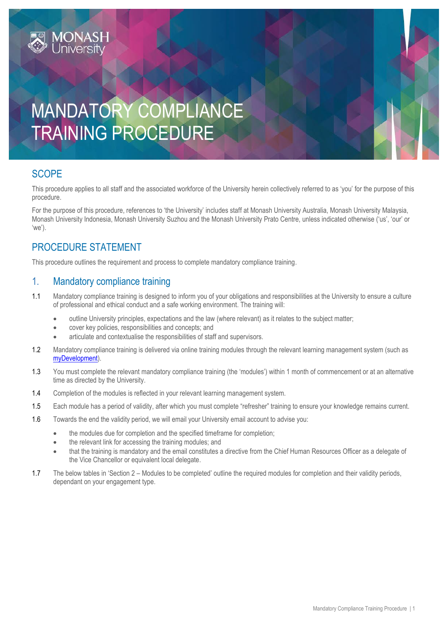# MANDATORY COMPLIANCE TRAINING PROCEDURE

### **SCOPE**

This procedure applies to all staff and the associated workforce of the University herein collectively referred to as 'you' for the purpose of this procedure.

For the purpose of this procedure, references to 'the University' includes staff at Monash University Australia, Monash University Malaysia, Monash University Indonesia, Monash University Suzhou and the Monash University Prato Centre, unless indicated otherwise ('us', 'our' or 'we').

### PROCEDURE STATEMENT

This procedure outlines the requirement and process to complete mandatory compliance training.

#### 1. Mandatory compliance training

- 1.1 Mandatory compliance training is designed to inform you of your obligations and responsibilities at the University to ensure a culture of professional and ethical conduct and a safe working environment. The training will:
	- outline University principles, expectations and the law (where relevant) as it relates to the subject matter;
	- cover key policies, responsibilities and concepts; and
	- articulate and contextualise the responsibilities of staff and supervisors.
- 1.2 Mandatory compliance training is delivered via online training modules through the relevant learning management system (such as [myDevelopment\)](https://monash.csod.com/samldefault.aspx?ReturnUrl=%252fDeepLink%252fProcessRedirect.aspx%253fmodule%253dbrowsetraining%2526sid%253d677).
- 1.3 You must complete the relevant mandatory compliance training (the 'modules') within 1 month of commencement or at an alternative time as directed by the University.
- 1.4 Completion of the modules is reflected in your relevant learning management system.
- 1.5 Each module has a period of validity, after which you must complete "refresher" training to ensure your knowledge remains current.
- 1.6 Towards the end the validity period, we will email your University email account to advise you:
	- the modules due for completion and the specified timeframe for completion;
	- the relevant link for accessing the training modules; and
	- that the training is mandatory and the email constitutes a directive from the Chief Human Resources Officer as a delegate of the Vice Chancellor or equivalent local delegate.
- 1.7 The below tables in 'Section 2 Modules to be completed' outline the required modules for completion and their validity periods, dependant on your engagement type.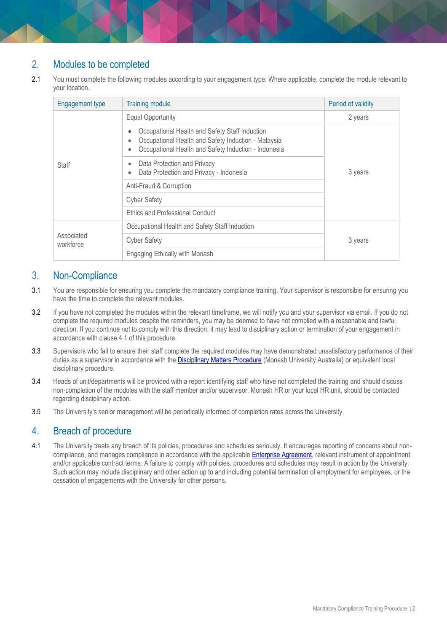## 2. Modules to be completed

2.1 You must complete the following modules according to your engagement type. Where applicable, complete the module relevant to your location.

| <b>Engagement type</b>  | <b>Training module</b>                                                                                                                                                                       | Period of validity |
|-------------------------|----------------------------------------------------------------------------------------------------------------------------------------------------------------------------------------------|--------------------|
| Staff                   | <b>Equal Opportunity</b>                                                                                                                                                                     | 2 years            |
|                         | Occupational Health and Safety Staff Induction<br>۰<br>Occupational Health and Safety Induction - Malaysia<br>$\bullet$<br>Occupational Health and Safety Induction - Indonesia<br>$\bullet$ | 3 years            |
|                         | Data Protection and Privacy<br>$\bullet$<br>Data Protection and Privacy - Indonesia<br>$\bullet$                                                                                             |                    |
|                         | Anti-Fraud & Corruption                                                                                                                                                                      |                    |
|                         | <b>Cyber Safety</b>                                                                                                                                                                          |                    |
|                         | <b>Ethics and Professional Conduct</b>                                                                                                                                                       |                    |
| Associated<br>workforce | Occupational Health and Safety Staff Induction                                                                                                                                               |                    |
|                         | <b>Cyber Safety</b>                                                                                                                                                                          | 3 years            |
|                         | Engaging Ethically with Monash                                                                                                                                                               |                    |

#### 3. Non-Compliance

- 3.1 You are responsible for ensuring you complete the mandatory compliance training. Your supervisor is responsible for ensuring you have the time to complete the relevant modules.
- 3.2 If you have not completed the modules within the relevant timeframe, we will notify you and your supervisor via email. If you do not complete the required modules despite the reminders, you may be deemed to have not complied with a reasonable and lawful direction. If you continue not to comply with this direction, it may lead to disciplinary action or termination of your engagement in accordance with clause 4.1 of this procedure.
- 3.3 Supervisors who fail to ensure their staff complete the required modules may have demonstrated unsatisfactory performance of their duties as a supervisor in accordance with the [Disciplinary Matters Procedure](https://publicpolicydms.monash.edu/Monash/documents/1935674) (Monash University Australia) or equivalent local disciplinary procedure.
- 3.4 Heads of unit/departments will be provided with a report identifying staff who have not completed the training and should discuss non-completion of the modules with the staff member and/or supervisor. Monash HR or your local HR unit, should be contacted regarding disciplinary action.
- 3.5 The University's senior management will be periodically informed of completion rates across the University.

### 4. Breach of procedure

4.1 The University treats any breach of its policies, procedures and schedules seriously. It encourages reporting of concerns about non-compliance, and manages compliance in accordance with the applicable [Enterprise Agreement,](https://www.monash.edu/current-enterprise-agreements) relevant instrument of appointment and/or applicable contract terms. A failure to comply with policies, procedures and schedules may result in action by the University. Such action may include disciplinary and other action up to and including potential termination of employment for employees, or the cessation of engagements with the University for other persons.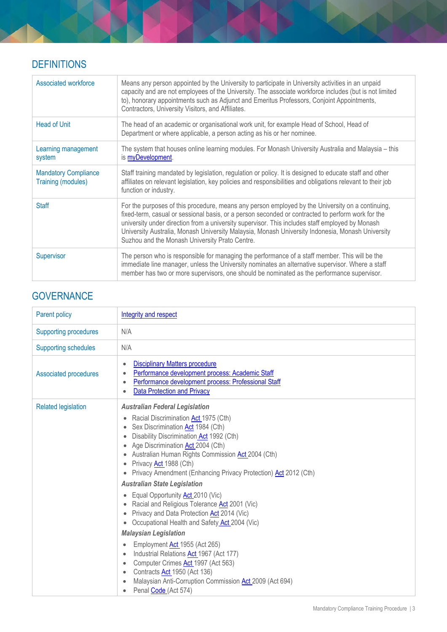# **DEFINITIONS**

| Associated workforce                              | Means any person appointed by the University to participate in University activities in an unpaid<br>capacity and are not employees of the University. The associate workforce includes (but is not limited<br>to), honorary appointments such as Adjunct and Emeritus Professors, Conjoint Appointments,<br>Contractors, University Visitors, and Affiliates.                                                                                                 |
|---------------------------------------------------|----------------------------------------------------------------------------------------------------------------------------------------------------------------------------------------------------------------------------------------------------------------------------------------------------------------------------------------------------------------------------------------------------------------------------------------------------------------|
| <b>Head of Unit</b>                               | The head of an academic or organisational work unit, for example Head of School, Head of<br>Department or where applicable, a person acting as his or her nominee.                                                                                                                                                                                                                                                                                             |
| Learning management<br>system                     | The system that houses online learning modules. For Monash University Australia and Malaysia - this<br>is <b>myDevelopment</b> .                                                                                                                                                                                                                                                                                                                               |
| <b>Mandatory Compliance</b><br>Training (modules) | Staff training mandated by legislation, regulation or policy. It is designed to educate staff and other<br>affiliates on relevant legislation, key policies and responsibilities and obligations relevant to their job<br>function or industry.                                                                                                                                                                                                                |
| <b>Staff</b>                                      | For the purposes of this procedure, means any person employed by the University on a continuing,<br>fixed-term, casual or sessional basis, or a person seconded or contracted to perform work for the<br>university under direction from a university supervisor. This includes staff employed by Monash<br>University Australia, Monash University Malaysia, Monash University Indonesia, Monash University<br>Suzhou and the Monash University Prato Centre. |
| Supervisor                                        | The person who is responsible for managing the performance of a staff member. This will be the<br>immediate line manager, unless the University nominates an alternative supervisor. Where a staff<br>member has two or more supervisors, one should be nominated as the performance supervisor.                                                                                                                                                               |

## **GOVERNANCE**

| <b>Parent policy</b>         | Integrity and respect                                                                                                                                                                                                                                                                                                                   |
|------------------------------|-----------------------------------------------------------------------------------------------------------------------------------------------------------------------------------------------------------------------------------------------------------------------------------------------------------------------------------------|
| <b>Supporting procedures</b> | N/A                                                                                                                                                                                                                                                                                                                                     |
| <b>Supporting schedules</b>  | N/A                                                                                                                                                                                                                                                                                                                                     |
| <b>Associated procedures</b> | <b>Disciplinary Matters procedure</b><br>$\bullet$<br>Performance development process: Academic Staff<br>$\bullet$<br>Performance development process: Professional Staff<br><b>Data Protection and Privacy</b><br>$\bullet$                                                                                                            |
| <b>Related legislation</b>   | <b>Australian Federal Legislation</b>                                                                                                                                                                                                                                                                                                   |
|                              | Racial Discrimination Act 1975 (Cth)<br>$\bullet$<br>Sex Discrimination Act 1984 (Cth)<br>Disability Discrimination Act 1992 (Cth)<br>Age Discrimination Act 2004 (Cth)<br>Australian Human Rights Commission <b>Act</b> 2004 (Cth)<br>Privacy <b>Act</b> 1988 (Cth)<br>Privacy Amendment (Enhancing Privacy Protection) Act 2012 (Cth) |
|                              | <b>Australian State Legislation</b>                                                                                                                                                                                                                                                                                                     |
|                              | Equal Opportunity <b>Act</b> 2010 (Vic)<br>Racial and Religious Tolerance Act 2001 (Vic)<br>Privacy and Data Protection Act 2014 (Vic)<br>Occupational Health and Safety Act 2004 (Vic)                                                                                                                                                 |
|                              | <b>Malaysian Legislation</b>                                                                                                                                                                                                                                                                                                            |
|                              | Employment Act 1955 (Act 265)<br>Industrial Relations Act 1967 (Act 177)<br>$\bullet$<br>Computer Crimes Act 1997 (Act 563)<br>$\bullet$<br>Contracts Act 1950 (Act 136)<br>$\bullet$<br>Malaysian Anti-Corruption Commission Act 2009 (Act 694)<br>Penal Code (Act 574)                                                                |